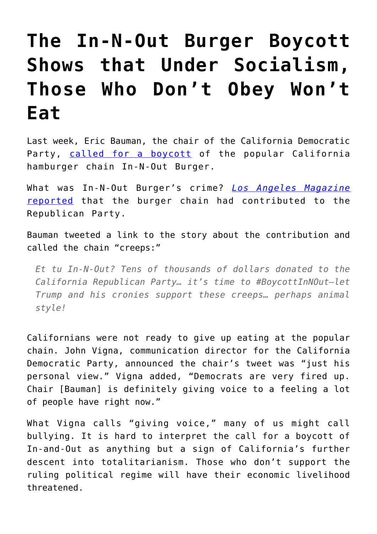# **[The In-N-Out Burger Boycott](https://intellectualtakeout.org/2018/09/the-in-n-out-burger-boycott-shows-that-under-socialism-those-who-dont-obey-wont-eat/) [Shows that Under Socialism,](https://intellectualtakeout.org/2018/09/the-in-n-out-burger-boycott-shows-that-under-socialism-those-who-dont-obey-wont-eat/) [Those Who Don't Obey Won't](https://intellectualtakeout.org/2018/09/the-in-n-out-burger-boycott-shows-that-under-socialism-those-who-dont-obey-wont-eat/) [Eat](https://intellectualtakeout.org/2018/09/the-in-n-out-burger-boycott-shows-that-under-socialism-those-who-dont-obey-wont-eat/)**

Last week, Eric Bauman, the chair of the California Democratic Party, [called for a boycott](http://www.latimes.com/local/lanow/la-me-in-and-out-donations-20180830-story.html) of the popular California hamburger chain In-N-Out Burger.

What was In-N-Out Burger's crime? *[Los Angeles Magazine](http://www.lamag.com/digestblog/in-n-out-republican/)* [reported](http://www.lamag.com/digestblog/in-n-out-republican/) that the burger chain had contributed to the Republican Party.

Bauman tweeted a link to the story about the contribution and called the chain "creeps:"

*Et tu In-N-Out? Tens of thousands of dollars donated to the California Republican Party… it's time to #BoycottInNOut—let Trump and his cronies support these creeps… perhaps animal style!*

Californians were not ready to give up eating at the popular chain. John Vigna, communication director for the California Democratic Party, announced the chair's tweet was "just his personal view." Vigna added, "Democrats are very fired up. Chair [Bauman] is definitely giving voice to a feeling a lot of people have right now."

What Vigna calls "giving voice," many of us might call bullying. It is hard to interpret the call for a boycott of In-and-Out as anything but a sign of California's further descent into totalitarianism. Those who don't support the ruling political regime will have their economic livelihood threatened.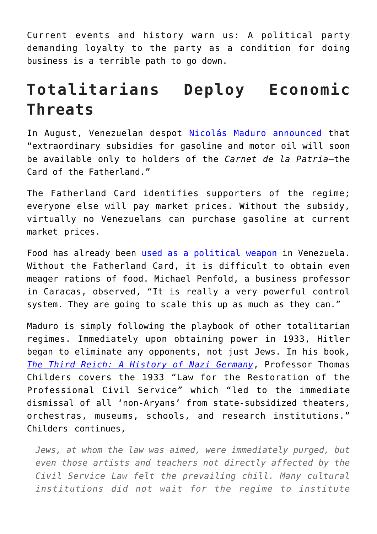Current events and history warn us: A political party demanding loyalty to the party as a condition for doing business is a terrible path to go down.

## **Totalitarians Deploy Economic Threats**

In August, Venezuelan despot [Nicolás Maduro announced](https://www.bloomberg.com/news/articles/2018-08-29/what-s-the-card-of-the-fatherland-a-ticket-to-free-gasoline) that "extraordinary subsidies for gasoline and motor oil will soon be available only to holders of the *Carnet de la Patria*—the Card of the Fatherland."

The Fatherland Card identifies supporters of the regime; everyone else will pay market prices. Without the subsidy, virtually no Venezuelans can purchase gasoline at current market prices.

Food has already been [used as a political weapon](https://www.wsj.com/articles/venezuelas-maduro-clinging-to-power-uses-hunger-as-an-electoral-weapon-1521734622) in Venezuela. Without the Fatherland Card, it is difficult to obtain even meager rations of food. Michael Penfold, a business professor in Caracas, observed, "It is really a very powerful control system. They are going to scale this up as much as they can."

Maduro is simply following the playbook of other totalitarian regimes. Immediately upon obtaining power in 1933, Hitler began to eliminate any opponents, not just Jews. In his book, *[The Third Reich: A History of Nazi Germany](https://smile.amazon.com/Third-Reich-History-Nazi-Germany-ebook/dp/B01CO34OLQ/ref=sr_1_2?ie=UTF8&qid=1536069689&sr=8-2&keywords=The+Third+Reich%3A+A+History+of+Nazi+Germany)*, Professor Thomas Childers covers the 1933 "Law for the Restoration of the Professional Civil Service" which "led to the immediate dismissal of all 'non-Aryans' from state-subsidized theaters, orchestras, museums, schools, and research institutions." Childers continues,

*Jews, at whom the law was aimed, were immediately purged, but even those artists and teachers not directly affected by the Civil Service Law felt the prevailing chill. Many cultural institutions did not wait for the regime to institute*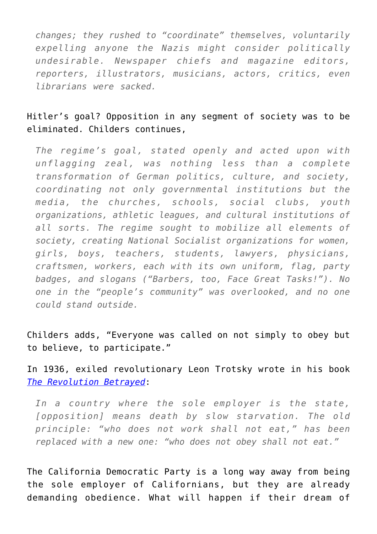*changes; they rushed to "coordinate" themselves, voluntarily expelling anyone the Nazis might consider politically undesirable. Newspaper chiefs and magazine editors, reporters, illustrators, musicians, actors, critics, even librarians were sacked.*

#### Hitler's goal? Opposition in any segment of society was to be eliminated. Childers continues,

*The regime's goal, stated openly and acted upon with unflagging zeal, was nothing less than a complete transformation of German politics, culture, and society, coordinating not only governmental institutions but the media, the churches, schools, social clubs, youth organizations, athletic leagues, and cultural institutions of all sorts. The regime sought to mobilize all elements of society, creating National Socialist organizations for women, girls, boys, teachers, students, lawyers, physicians, craftsmen, workers, each with its own uniform, flag, party badges, and slogans ("Barbers, too, Face Great Tasks!"). No one in the "people's community" was overlooked, and no one could stand outside.*

Childers adds, "Everyone was called on not simply to obey but to believe, to participate."

In 1936, exiled revolutionary Leon Trotsky wrote in his book *[The Revolution Betrayed](https://www.marxists.org/archive/trotsky/1936/revbet/index.htm)*:

*In a country where the sole employer is the state, [opposition] means death by slow starvation. The old principle: "who does not work shall not eat," has been replaced with a new one: "who does not obey shall not eat."*

The California Democratic Party is a long way away from being the sole employer of Californians, but they are already demanding obedience. What will happen if their dream of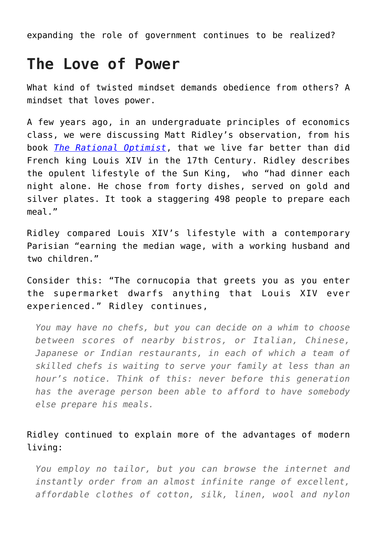expanding the role of government continues to be realized?

### **The Love of Power**

What kind of twisted mindset demands obedience from others? A mindset that loves power.

A few years ago, in an undergraduate principles of economics class, we were discussing Matt Ridley's observation, from his book *[The Rational Optimist](https://smile.amazon.com/Rational-Optimist-How-Prosperity-Evolves/dp/006145205X/ref=tmm_hrd_swatch_0?_encoding=UTF8&qid=1536069848&sr=8-1)*, that we live far better than did French king Louis XIV in the 17th Century. Ridley describes the opulent lifestyle of the Sun King, who "had dinner each night alone. He chose from forty dishes, served on gold and silver plates. It took a staggering 498 people to prepare each meal."

Ridley compared Louis XIV's lifestyle with a contemporary Parisian "earning the median wage, with a working husband and two children."

Consider this: "The cornucopia that greets you as you enter the supermarket dwarfs anything that Louis XIV ever experienced." Ridley continues,

*You may have no chefs, but you can decide on a whim to choose between scores of nearby bistros, or Italian, Chinese, Japanese or Indian restaurants, in each of which a team of skilled chefs is waiting to serve your family at less than an hour's notice. Think of this: never before this generation has the average person been able to afford to have somebody else prepare his meals.* 

#### Ridley continued to explain more of the advantages of modern living:

*You employ no tailor, but you can browse the internet and instantly order from an almost infinite range of excellent, affordable clothes of cotton, silk, linen, wool and nylon*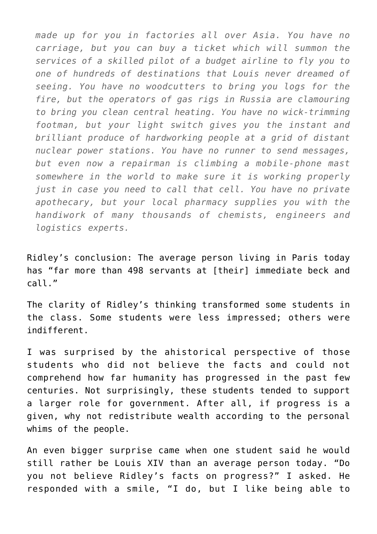*made up for you in factories all over Asia. You have no carriage, but you can buy a ticket which will summon the services of a skilled pilot of a budget airline to fly you to one of hundreds of destinations that Louis never dreamed of seeing. You have no woodcutters to bring you logs for the fire, but the operators of gas rigs in Russia are clamouring to bring you clean central heating. You have no wick-trimming footman, but your light switch gives you the instant and brilliant produce of hardworking people at a grid of distant nuclear power stations. You have no runner to send messages, but even now a repairman is climbing a mobile-phone mast somewhere in the world to make sure it is working properly just in case you need to call that cell. You have no private apothecary, but your local pharmacy supplies you with the handiwork of many thousands of chemists, engineers and logistics experts.*

Ridley's conclusion: The average person living in Paris today has "far more than 498 servants at [their] immediate beck and call."

The clarity of Ridley's thinking transformed some students in the class. Some students were less impressed; others were indifferent.

I was surprised by the ahistorical perspective of those students who did not believe the facts and could not comprehend how far humanity has progressed in the past few centuries. Not surprisingly, these students tended to support a larger role for government. After all, if progress is a given, why not redistribute wealth according to the personal whims of the people.

An even bigger surprise came when one student said he would still rather be Louis XIV than an average person today. "Do you not believe Ridley's facts on progress?" I asked. He responded with a smile, "I do, but I like being able to